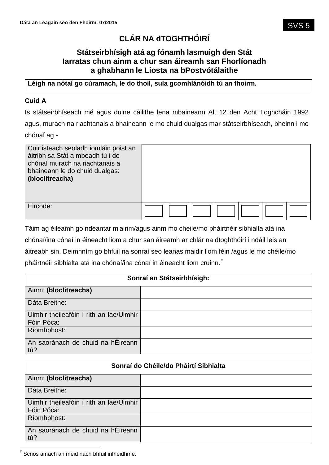# **CLÁR NA dTOGHTHÓIRÍ**

## **Státseirbhísigh atá ag fónamh lasmuigh den Stát Iarratas chun ainm a chur san áireamh san Fhorlíonadh a ghabhann le Liosta na bPostvótálaithe**

## **Léigh na nótaí go cúramach, le do thoil, sula gcomhlánóidh tú an fhoirm.**

## **Cuid A**

Is státseirbhíseach mé agus duine cáilithe lena mbaineann Alt 12 den Acht Toghcháin 1992 agus, murach na riachtanais a bhaineann le mo chuid dualgas mar státseirbhíseach, bheinn i mo chónaí ag -

| Cuir isteach seoladh iomláin poist an<br>áitribh sa Stát a mbeadh tú i do<br>chónaí murach na riachtanais a<br>bhaineann le do chuid dualgas:<br>(bloclitreacha) |  |
|------------------------------------------------------------------------------------------------------------------------------------------------------------------|--|
| Eircode:                                                                                                                                                         |  |

Táim ag éileamh go ndéantar m'ainm/agus ainm mo chéile/mo pháirtnéir sibhialta atá ina chónaí/ina cónaí in éineacht liom a chur san áireamh ar chlár na dtoghthóirí i ndáil leis an áitreabh sin. Deimhním go bhfuil na sonraí seo leanas maidir liom féin /agus le mo chéile/mo pháirtnéir sibhialta atá ina chónaí/ina cónaí in éineacht liom cruinn.<sup>#</sup>

| Sonraí an Státseirbhísigh:                            |  |
|-------------------------------------------------------|--|
| Ainm: (bloclitreacha)                                 |  |
| Dáta Breithe:                                         |  |
| Uimhir theileafóin i rith an lae/Uimhir<br>Fóin Póca: |  |
| Ríomhphost:                                           |  |
| An saoránach de chuid na hÉireann<br>tú?              |  |

| Sonraí do Chéile/do Pháirtí Sibhialta                 |  |
|-------------------------------------------------------|--|
| Ainm: (bloclitreacha)                                 |  |
| Dáta Breithe:                                         |  |
| Uimhir theileafóin i rith an lae/Uimhir<br>Fóin Póca: |  |
| Ríomhphost:                                           |  |
| An saoránach de chuid na hÉireann<br>tú?              |  |

 # Scrios amach an méid nach bhfuil infheidhme.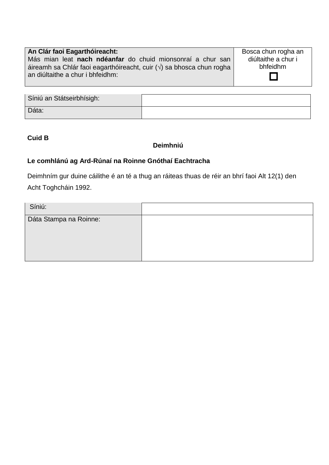### **An Clár faoi Eagarthóireacht:** Más mian leat **nach ndéanfar** do chuid mionsonraí a chur san áireamh sa Chlár faoi eagarthóireacht, cuir  $(\sqrt{)}$  sa bhosca chun rogha an diúltaithe a chur i bhfeidhm:

Bosca chun rogha an diúltaithe a chur i bhfeidhm

П

| Síniú an Státseirbhísigh: |  |
|---------------------------|--|
| Dáta:                     |  |

## **Cuid B**

### **Deimhniú**

## **Le comhlánú ag Ard-Rúnaí na Roinne Gnóthaí Eachtracha**

Deimhním gur duine cáilithe é an té a thug an ráiteas thuas de réir an bhrí faoi Alt 12(1) den Acht Toghcháin 1992.

| Síniú:                 |  |
|------------------------|--|
| Dáta Stampa na Roinne: |  |
|                        |  |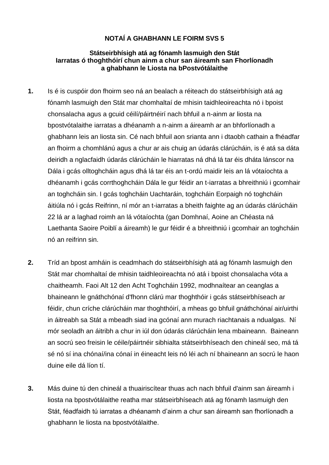## **NOTAÍ A GHABHANN LE FOIRM SVS 5**

#### **Státseirbhísigh atá ag fónamh lasmuigh den Stát Iarratas ó thoghthóirí chun ainm a chur san áireamh san Fhorlíonadh a ghabhann le Liosta na bPostvótálaithe**

- **1.** Is é is cuspóir don fhoirm seo ná an bealach a réiteach do státseirbhísigh atá ag fónamh lasmuigh den Stát mar chomhaltaí de mhisin taidhleoireachta nó i bpoist chonsalacha agus a gcuid céilí/páirtnéirí nach bhfuil a n-ainm ar liosta na bpostvótalaithe iarratas a dhéanamh a n-ainm a áireamh ar an bhforlíonadh a ghabhann leis an liosta sin. Cé nach bhfuil aon srianta ann i dtaobh cathain a fhéadfar an fhoirm a chomhlánú agus a chur ar ais chuig an údarás clárúcháin, is é atá sa dáta deiridh a nglacfaidh údarás clárúcháin le hiarratas ná dhá lá tar éis dháta lánscor na Dála i gcás olltoghcháin agus dhá lá tar éis an t-ordú maidir leis an lá vótaíochta a dhéanamh i gcás corrthoghcháin Dála le gur féidir an t-iarratas a bhreithniú i gcomhair an toghcháin sin. I gcás toghcháin Uachtaráin, toghcháin Eorpaigh nó toghcháin áitiúla nó i gcás Reifrinn, ní mór an t-iarratas a bheith faighte ag an údarás clárúcháin 22 lá ar a laghad roimh an lá vótaíochta (gan Domhnaí, Aoine an Chéasta ná Laethanta Saoire Poiblí a áireamh) le gur féidir é a bhreithniú i gcomhair an toghcháin nó an reifrinn sin.
- **2.** Tríd an bpost amháin is ceadmhach do státseirbhísigh atá ag fónamh lasmuigh den Stát mar chomhaltaí de mhisin taidhleoireachta nó atá i bpoist chonsalacha vóta a chaitheamh. Faoi Alt 12 den Acht Toghcháin 1992, modhnaítear an ceanglas a bhaineann le gnáthchónaí d'fhonn clárú mar thoghthóir i gcás státseirbhíseach ar féidir, chun críche clárúcháin mar thoghthóirí, a mheas go bhfuil gnáthchónaí air/uirthi in áitreabh sa Stát a mbeadh siad ina gcónaí ann murach riachtanais a ndualgas. Ní mór seoladh an áitribh a chur in iúl don údarás clárúcháin lena mbaineann. Baineann an socrú seo freisin le céile/páirtnéir sibhialta státseirbhíseach den chineál seo, má tá sé nó sí ina chónaí/ina cónaí in éineacht leis nó léi ach ní bhaineann an socrú le haon duine eile dá líon tí.
- **3.** Más duine tú den chineál a thuairiscítear thuas ach nach bhfuil d'ainm san áireamh i liosta na bpostvótálaithe reatha mar státseirbhíseach atá ag fónamh lasmuigh den Stát, féadfaidh tú iarratas a dhéanamh d'ainm a chur san áireamh san fhorlíonadh a ghabhann le liosta na bpostvótálaithe.